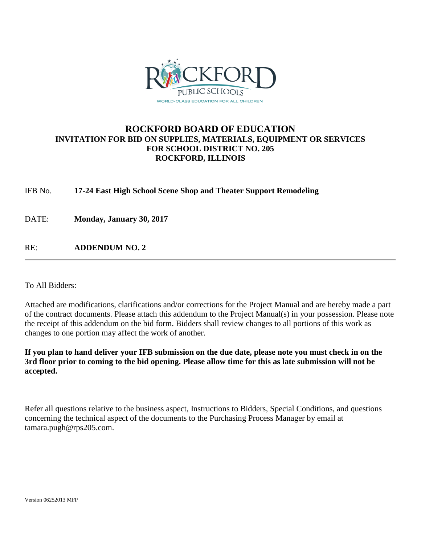

# **ROCKFORD BOARD OF EDUCATION INVITATION FOR BID ON SUPPLIES, MATERIALS, EQUIPMENT OR SERVICES FOR SCHOOL DISTRICT NO. 205 ROCKFORD, ILLINOIS**

IFB No. **17-24 East High School Scene Shop and Theater Support Remodeling**

DATE: **Monday, January 30, 2017**

RE: **ADDENDUM NO. 2**

To All Bidders:

Attached are modifications, clarifications and/or corrections for the Project Manual and are hereby made a part of the contract documents. Please attach this addendum to the Project Manual(s) in your possession. Please note the receipt of this addendum on the bid form. Bidders shall review changes to all portions of this work as changes to one portion may affect the work of another.

**If you plan to hand deliver your IFB submission on the due date, please note you must check in on the 3rd floor prior to coming to the bid opening. Please allow time for this as late submission will not be accepted.**

Refer all questions relative to the business aspect, Instructions to Bidders, Special Conditions, and questions concerning the technical aspect of the documents to the Purchasing Process Manager by email at tamara.pugh@rps205.com.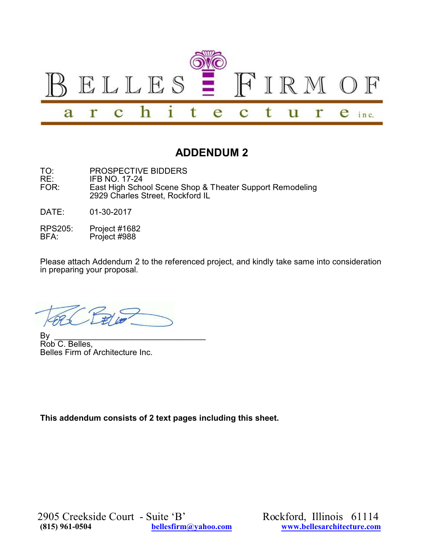

# **ADDENDUM 2**

- TO: PROSPECTIVE BIDDERS<br>RE: IFB NO. 17-24 RE: IFB NO. 17-24<br>FOR: Fast High Scho East High School Scene Shop & Theater Support Remodeling 2929 Charles Street, Rockford IL
- DATE: 01-30-2017
- RPS205: Project #1682<br>BFA: Project #988 Project #988

Please attach Addendum 2 to the referenced project, and kindly take same into consideration in preparing your proposal.

By \_\_\_\_\_\_\_\_\_\_\_\_\_\_\_\_\_\_\_\_\_\_\_\_\_\_\_\_\_\_\_\_\_ Rob C. Belles, Belles Firm of Architecture Inc.

**This addendum consists of 2 text pages including this sheet.**

2905 Creekside Court - Suite 'B' Rockford, Illinois 61114<br>
815) 961-0504 bellesfirm@yahoo.com www.bellesarchitecture.com

**(815) 961-0504 [bellesfirm@yahoo.com](mailto:bellesfirm@yahoo.com) [www.bellesarchitecture.com](http://www.bellesarchitecture.com)**